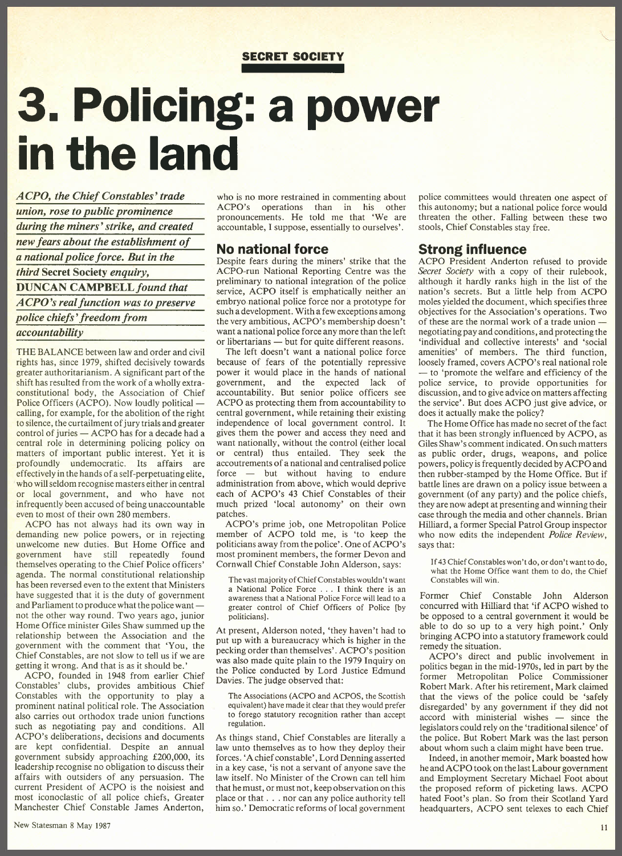### **SECRET SOCIETY**

# **3. Policing: a power in the land**

*A CPO, the Chief Constables' trade union, rose to public prominence during the miners' strike, and created new fears about the establishment of a national police force. But in the third* Secret Society *enquiry,* DUNCAN *CAMPBELLfound that A CPO 'srealfunction was to preserve police chiefs' freedom from accountability*

THE BALANCE between law and order and civil rights has, since 1979, shifted decisively towards greater authoritarianism. A significant part of the shift has resulted from the work of a wholly extraconstitutional body, the Association of Chief Police Officers (ACPO). Now loudly political calling, for example, for the abolition of the right to silence, the curtailment of jury trials and greater  $control of juries - ACPO has for a decade had a$ central role in determining policing policy on matters of important public interest. Yet it is profoundly undemocratic. Its affairs are effectively in the hands of a self-perpetuating elite, who will seldom recognise masters either in central or local government, and who have not infrequently been accused of being unaccountable even to most of their own 280 members.

ACPO has not always had its own way in demanding new police powers, or in rejecting unwelcome new duties. But Home Office and government have still repeatedly found themselves operating to the Chief Police officers' agenda. The normal constitutional relationship has been reversed even to the extent that Ministers have suggested that it is the duty of government and Parliament to produce what the police wantnot the other way round. Two years ago, junior Home Office minister Giles Shaw summed up the relationship between the Association and the government with the comment that 'You, the Chief Constables, are not slow to tell us if we are getting it wrong. And that is as it should be.'

ACPO, founded in 1948 from earlier Chief Constables' clubs, provides ambitious Chief Constables with the opportunity to play a prominent natinal political role. The Association also carries out orthodox trade union functions such as negotiating pay and conditions. All ACPO's deliberations, decisions and documents are kept confidential. Despite an annual government subsidy approaching £200,000, its leadership recognise no obligation to discuss their affairs with outsiders of any persuasion. The current President of ACPO is the noisiest and most iconoclastic of all police chiefs, Greater Manchester Chief Constable James Anderton,

who is no more restrained in commenting about ACPO's operations than in his other pronouncements. He told me that 'We are accountable, I suppose, essentially to ourselves'.

## **No national force**

Despite fears during the miners' strike that the ACPO-run National Reporting Centre was the preliminary to national integration of the police service, ACPO itself is emphatically neither an' embryo national police force nor a prototype for such a development. With a few exceptions among the very ambitious, ACPO's membership doesn't want a national police force any more than the left or libertarians - but for quite different reasons.

The left doesn't want a national police force because of fears of the potentially repressive power it would place in the hands of national government, and the expected lack of accountability. But senior police officers see ACPO as protecting them from accountability to central government, while retaining their existing independence of local government control. It gives them the power and access they need and want nationally, without the control (either local or central) thus entailed. They seek the accoutrements of a national and centralised police force - but without having to endure administration from above, which would deprive each of ACPO's 43 Chief Constables of their much prized 'local autonomy' on their own patches.

ACPO's prime job, one Metropolitan Police member of ACPO told me, is 'to keep the politicians away from the police'. One of ACPO's most prominent members, the former Devon and Cornwall Chief Constable John Alderson, says:

The vast majority of Chief Constables wouldn't want a National Police Force . . . I think there is an awareness that a National Police Force will lead to a greater control of Chief Officers of Police [by politicians].

At present, Alderson noted, 'they haven't had to put up with a bureaucracy which is higher in the pecking order than themselves'. ACPO's position was also made quite plain to the 1979 Inquiry on the Police conducted by Lord Justice Edmund Davies. The judge observed that:

The Associations (ACPO and ACPOS, the Scottish equivalent) have made it clear that they would prefer to forego statutory recognition rather than accept regulation.

As things stand, Chief Constables are literally a law unto themselves as to how they deploy their forces. 'A chief constable', Lord Denning asserted in a key case, 'is not a servant of anyone save the law itself. No Minister of the Crown can tell him that he must, or must not, keep observation on this place or that ... nor can any police authority tell him so.' Democratic reforms of local government police committees would threaten one aspect of this autonomy; but a national police force would threaten the other. Falling between these two stools, Chief Constables stay free.

### **Strong influence**

ACPO President Anderton refused to provide *Secret Society* with a copy of their rulebook, although it hardly ranks high in the list of the nation's secrets. But a little help from ACPO moles yielded the document, which specifies three objectives for the Association's operations. Two of these are the normal work of a trade union negotiating pay and conditions, and protecting the 'individual and collective interests' and 'social amenities' of members. The third function, loosely framed, covers ACPO's real national role - to 'promote the welfare and efficiency of the police service, to provide opportunities for discussion, and to give advice on matters affecting the service'. But does ACPO just give advice, or does it actually make the policy?

The Home Office has made no secret of the fact that it has been strongly influenced by ACPO, as Giles Shaw's comment indicated. On such matters as public order, drugs, weapons, and police powers, policy isfrequently decided by ACPO and then rubber-stamped by the Home Office. But if battle lines are drawn on a policy issue between a government (of any party) and the police chiefs, they are now adept at presenting and winning their case through the media and other channels. Brian HiIIiard, a former Special Patrol Group inspector who now edits the independent *Police Review,* says that:

If 43Chief Constables won't do, or don't want to do, what the Home Office want them to do, the Chief Constables will win.

Former Chief Constable John Alderson concurred with HiIIiard that 'if ACPO wished to be opposed to a central government it would be able to do so up to a very high point.' Only bringing ACPO into a statutory framework could remedy the situation.

ACPO's direct and public involvement in politics began in the mid-1970s, led in part by the former Metropolitan Police Commissioner Robert Mark. After his retirement, Mark claimed that the views of the police could be 'safely disregarded' by any government if they did not  $accord$  with ministerial wishes  $-$  since the legislators could rely on the 'traditional silence' of the police. But Robert Mark was the last person about whom such a claim might have been true.

Indeed, in another memoir, Mark boasted how he and ACPO took on the last Labour government and Employment Secretary Michael Foot about the proposed reform of picketing laws. ACPO hated Foot's plan. So from their Scotland Yard headquarters, ACPO sent telexes to each Chief